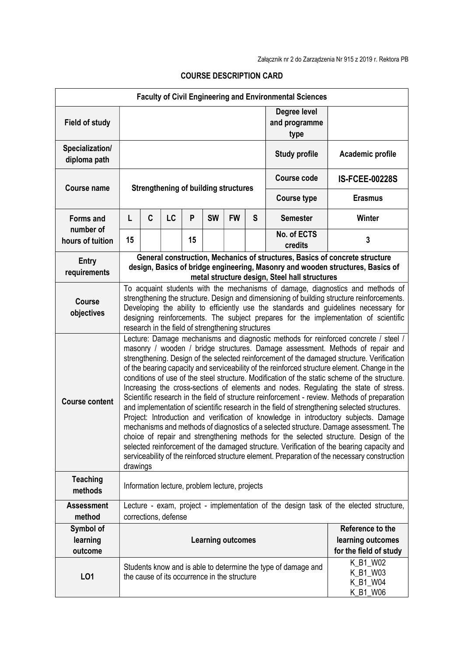| <b>Faculty of Civil Engineering and Environmental Sciences</b> |                                                                                                                                                                                                                                                                                                                                                                                                                                                                                                                                                                                                                                                                                                                                                                                                                                                                                                                                                                                                                                                                                                                                                                                                                                                  |   |                                              |    |           |           |                        |                                                               |                                              |
|----------------------------------------------------------------|--------------------------------------------------------------------------------------------------------------------------------------------------------------------------------------------------------------------------------------------------------------------------------------------------------------------------------------------------------------------------------------------------------------------------------------------------------------------------------------------------------------------------------------------------------------------------------------------------------------------------------------------------------------------------------------------------------------------------------------------------------------------------------------------------------------------------------------------------------------------------------------------------------------------------------------------------------------------------------------------------------------------------------------------------------------------------------------------------------------------------------------------------------------------------------------------------------------------------------------------------|---|----------------------------------------------|----|-----------|-----------|------------------------|---------------------------------------------------------------|----------------------------------------------|
| <b>Field of study</b>                                          |                                                                                                                                                                                                                                                                                                                                                                                                                                                                                                                                                                                                                                                                                                                                                                                                                                                                                                                                                                                                                                                                                                                                                                                                                                                  |   |                                              |    |           |           |                        | Degree level<br>and programme<br>type                         |                                              |
| Specialization/<br>diploma path                                |                                                                                                                                                                                                                                                                                                                                                                                                                                                                                                                                                                                                                                                                                                                                                                                                                                                                                                                                                                                                                                                                                                                                                                                                                                                  |   |                                              |    |           |           |                        | <b>Study profile</b>                                          | Academic profile                             |
| <b>Course name</b>                                             | <b>Strengthening of building structures</b>                                                                                                                                                                                                                                                                                                                                                                                                                                                                                                                                                                                                                                                                                                                                                                                                                                                                                                                                                                                                                                                                                                                                                                                                      |   |                                              |    |           |           |                        | <b>Course code</b>                                            | <b>IS-FCEE-00228S</b>                        |
|                                                                |                                                                                                                                                                                                                                                                                                                                                                                                                                                                                                                                                                                                                                                                                                                                                                                                                                                                                                                                                                                                                                                                                                                                                                                                                                                  |   |                                              |    |           |           |                        | <b>Course type</b>                                            | <b>Erasmus</b>                               |
| <b>Forms and</b>                                               | L                                                                                                                                                                                                                                                                                                                                                                                                                                                                                                                                                                                                                                                                                                                                                                                                                                                                                                                                                                                                                                                                                                                                                                                                                                                | C | LC                                           | P  | <b>SW</b> | <b>FW</b> | S                      | <b>Semester</b>                                               | Winter                                       |
| number of<br>hours of tuition                                  | 15                                                                                                                                                                                                                                                                                                                                                                                                                                                                                                                                                                                                                                                                                                                                                                                                                                                                                                                                                                                                                                                                                                                                                                                                                                               |   |                                              | 15 |           |           |                        | No. of ECTS<br>credits                                        | 3                                            |
| <b>Entry</b><br>requirements                                   | General construction, Mechanics of structures, Basics of concrete structure<br>design, Basics of bridge engineering, Masonry and wooden structures, Basics of<br>metal structure design, Steel hall structures                                                                                                                                                                                                                                                                                                                                                                                                                                                                                                                                                                                                                                                                                                                                                                                                                                                                                                                                                                                                                                   |   |                                              |    |           |           |                        |                                                               |                                              |
| <b>Course</b><br>objectives                                    | To acquaint students with the mechanisms of damage, diagnostics and methods of<br>strengthening the structure. Design and dimensioning of building structure reinforcements.<br>Developing the ability to efficiently use the standards and guidelines necessary for<br>designing reinforcements. The subject prepares for the implementation of scientific<br>research in the field of strengthening structures                                                                                                                                                                                                                                                                                                                                                                                                                                                                                                                                                                                                                                                                                                                                                                                                                                 |   |                                              |    |           |           |                        |                                                               |                                              |
| <b>Course content</b>                                          | Lecture: Damage mechanisms and diagnostic methods for reinforced concrete / steel /<br>masonry / wooden / bridge structures. Damage assessment. Methods of repair and<br>strengthening. Design of the selected reinforcement of the damaged structure. Verification<br>of the bearing capacity and serviceability of the reinforced structure element. Change in the<br>conditions of use of the steel structure. Modification of the static scheme of the structure.<br>Increasing the cross-sections of elements and nodes. Regulating the state of stress.<br>Scientific research in the field of structure reinforcement - review. Methods of preparation<br>and implementation of scientific research in the field of strengthening selected structures.<br>Project: Introduction and verification of knowledge in introductory subjects. Damage<br>mechanisms and methods of diagnostics of a selected structure. Damage assessment. The<br>choice of repair and strengthening methods for the selected structure. Design of the<br>selected reinforcement of the damaged structure. Verification of the bearing capacity and<br>serviceability of the reinforced structure element. Preparation of the necessary construction<br>drawings |   |                                              |    |           |           |                        |                                                               |                                              |
| <b>Teaching</b><br>methods                                     | Information lecture, problem lecture, projects                                                                                                                                                                                                                                                                                                                                                                                                                                                                                                                                                                                                                                                                                                                                                                                                                                                                                                                                                                                                                                                                                                                                                                                                   |   |                                              |    |           |           |                        |                                                               |                                              |
| <b>Assessment</b><br>method                                    | Lecture - exam, project - implementation of the design task of the elected structure,<br>corrections, defense                                                                                                                                                                                                                                                                                                                                                                                                                                                                                                                                                                                                                                                                                                                                                                                                                                                                                                                                                                                                                                                                                                                                    |   |                                              |    |           |           |                        |                                                               |                                              |
| Symbol of<br>learning<br>outcome                               | Reference to the<br><b>Learning outcomes</b><br>learning outcomes                                                                                                                                                                                                                                                                                                                                                                                                                                                                                                                                                                                                                                                                                                                                                                                                                                                                                                                                                                                                                                                                                                                                                                                |   |                                              |    |           |           | for the field of study |                                                               |                                              |
| L01                                                            |                                                                                                                                                                                                                                                                                                                                                                                                                                                                                                                                                                                                                                                                                                                                                                                                                                                                                                                                                                                                                                                                                                                                                                                                                                                  |   | the cause of its occurrence in the structure |    |           |           |                        | Students know and is able to determine the type of damage and | K_B1_W02<br>K_B1_W03<br>K_B1_W04<br>K_B1_W06 |

## COURSE DESCRIPTION CARD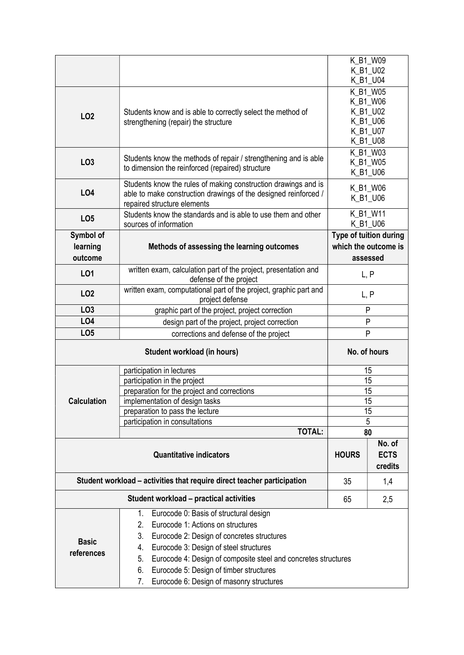|                                                                         |                                                                                                                                                                                                                                                                                                                      | K_B1_W09<br>K B1_U02<br>K_B1_U04                                     |  |  |  |  |  |  |
|-------------------------------------------------------------------------|----------------------------------------------------------------------------------------------------------------------------------------------------------------------------------------------------------------------------------------------------------------------------------------------------------------------|----------------------------------------------------------------------|--|--|--|--|--|--|
| LO <sub>2</sub>                                                         | Students know and is able to correctly select the method of<br>strengthening (repair) the structure                                                                                                                                                                                                                  | K_B1_W05<br>K_B1_W06<br>K_B1_U02<br>K_B1_U06<br>K_B1_U07<br>K_B1_U08 |  |  |  |  |  |  |
| LO <sub>3</sub>                                                         | Students know the methods of repair / strengthening and is able<br>to dimension the reinforced (repaired) structure                                                                                                                                                                                                  | K_B1_W03<br>K B1 W05<br>K_B1_U06                                     |  |  |  |  |  |  |
| LO4                                                                     | Students know the rules of making construction drawings and is<br>able to make construction drawings of the designed reinforced /<br>repaired structure elements                                                                                                                                                     | K_B1_W06<br>K_B1_U06                                                 |  |  |  |  |  |  |
| LO <sub>5</sub>                                                         | Students know the standards and is able to use them and other<br>sources of information                                                                                                                                                                                                                              | K_B1_W11<br>K_B1_U06                                                 |  |  |  |  |  |  |
| Symbol of<br>learning<br>outcome                                        | Methods of assessing the learning outcomes                                                                                                                                                                                                                                                                           | Type of tuition during<br>which the outcome is<br>assessed           |  |  |  |  |  |  |
| L01                                                                     | written exam, calculation part of the project, presentation and<br>defense of the project                                                                                                                                                                                                                            | L, P                                                                 |  |  |  |  |  |  |
| LO <sub>2</sub>                                                         | written exam, computational part of the project, graphic part and<br>project defense                                                                                                                                                                                                                                 | L, P                                                                 |  |  |  |  |  |  |
| LO <sub>3</sub>                                                         | graphic part of the project, project correction                                                                                                                                                                                                                                                                      | P                                                                    |  |  |  |  |  |  |
| LO <sub>4</sub>                                                         | design part of the project, project correction                                                                                                                                                                                                                                                                       | P                                                                    |  |  |  |  |  |  |
| LO <sub>5</sub>                                                         | corrections and defense of the project                                                                                                                                                                                                                                                                               | P                                                                    |  |  |  |  |  |  |
|                                                                         | No. of hours                                                                                                                                                                                                                                                                                                         |                                                                      |  |  |  |  |  |  |
|                                                                         | participation in lectures                                                                                                                                                                                                                                                                                            | 15                                                                   |  |  |  |  |  |  |
|                                                                         | participation in the project                                                                                                                                                                                                                                                                                         | 15                                                                   |  |  |  |  |  |  |
|                                                                         | preparation for the project and corrections                                                                                                                                                                                                                                                                          | 15                                                                   |  |  |  |  |  |  |
| <b>Calculation</b>                                                      | implementation of design tasks                                                                                                                                                                                                                                                                                       | 15                                                                   |  |  |  |  |  |  |
|                                                                         | preparation to pass the lecture                                                                                                                                                                                                                                                                                      | 15                                                                   |  |  |  |  |  |  |
|                                                                         | participation in consultations<br><b>TOTAL:</b>                                                                                                                                                                                                                                                                      | 5<br>80                                                              |  |  |  |  |  |  |
|                                                                         |                                                                                                                                                                                                                                                                                                                      | No. of                                                               |  |  |  |  |  |  |
|                                                                         | <b>HOURS</b>                                                                                                                                                                                                                                                                                                         | <b>ECTS</b><br>credits                                               |  |  |  |  |  |  |
| Student workload - activities that require direct teacher participation | 35                                                                                                                                                                                                                                                                                                                   | 1,4                                                                  |  |  |  |  |  |  |
|                                                                         | 65                                                                                                                                                                                                                                                                                                                   | 2,5                                                                  |  |  |  |  |  |  |
| <b>Basic</b><br>references                                              | Eurocode 0: Basis of structural design<br>1.<br>2.<br>Eurocode 1: Actions on structures<br>3.<br>Eurocode 2: Design of concretes structures<br>Eurocode 3: Design of steel structures<br>4.<br>5.<br>Eurocode 4: Design of composite steel and concretes structures<br>Eurocode 5: Design of timber structures<br>6. |                                                                      |  |  |  |  |  |  |
|                                                                         | Eurocode 6: Design of masonry structures<br>7.                                                                                                                                                                                                                                                                       |                                                                      |  |  |  |  |  |  |